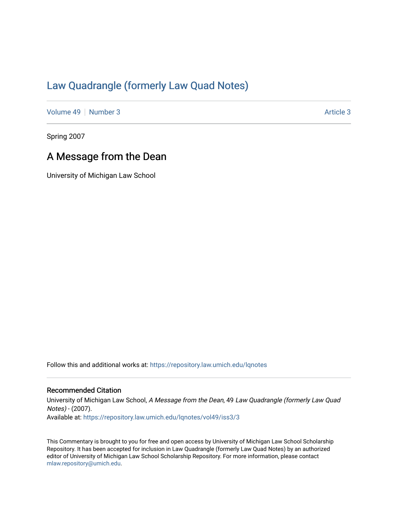## [Law Quadrangle \(formerly Law Quad Notes\)](https://repository.law.umich.edu/lqnotes)

[Volume 49](https://repository.law.umich.edu/lqnotes/vol49) [Number 3](https://repository.law.umich.edu/lqnotes/vol49/iss3) [Article 3](https://repository.law.umich.edu/lqnotes/vol49/iss3/3) Article 3

Spring 2007

## A Message from the Dean

University of Michigan Law School

Follow this and additional works at: [https://repository.law.umich.edu/lqnotes](https://repository.law.umich.edu/lqnotes?utm_source=repository.law.umich.edu%2Flqnotes%2Fvol49%2Fiss3%2F3&utm_medium=PDF&utm_campaign=PDFCoverPages) 

## Recommended Citation

University of Michigan Law School, A Message from the Dean, 49 Law Quadrangle (formerly Law Quad Notes) - (2007). Available at: [https://repository.law.umich.edu/lqnotes/vol49/iss3/3](https://repository.law.umich.edu/lqnotes/vol49/iss3/3?utm_source=repository.law.umich.edu%2Flqnotes%2Fvol49%2Fiss3%2F3&utm_medium=PDF&utm_campaign=PDFCoverPages) 

This Commentary is brought to you for free and open access by University of Michigan Law School Scholarship Repository. It has been accepted for inclusion in Law Quadrangle (formerly Law Quad Notes) by an authorized editor of University of Michigan Law School Scholarship Repository. For more information, please contact [mlaw.repository@umich.edu.](mailto:mlaw.repository@umich.edu)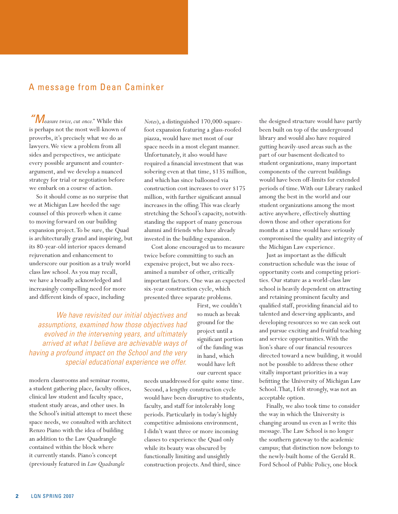## A message from Dean Caminker

"M*easure twice, cut once."* While this is perhaps not the most well-known of proverbs, it's precisely what we do as lawyers. We view a problem from all sides and perspectives, we anticipate every possible argument and counterargument, and we develop a nuanced strategy for trial or negotiation before we embark on a course of action.

So it should come as no surprise that we at Michigan Law heeded the sage counsel of this proverb when it came to moving forward on our building expansion project. To be sure, the Quad is architecturally grand and inspiring, but its 80-year-old interior spaces demand rejuvenation and enhancement to underscore our position as a truly world class law school. As you may recall, we have a broadly acknowledged and increasingly compelling need for more and different kinds of space, including

*Notes*), a distinguished 170,000-squarefoot expansion featuring a glass-roofed piazza, would have met most of our space needs in a most elegant manner. Unfortunately, it also would have required a financial investment that was sobering even at that time, \$135 million, and which has since ballooned via construction cost increases to over \$175 million, with further significant annual increases in the offing. This was clearly stretching the School's capacity, notwithstanding the support of many generous alumni and friends who have already invested in the building expansion.

Cost alone encouraged us to measure twice before committing to such an expensive project, but we also reexamined a number of other, critically important factors. One was an expected six-year construction cycle, which presented three separate problems.

We have revisited our initial objectives and assumptions, examined how those objectives had evolved in the intervening years, and ultimately arrived at what I believe are achievable ways of having a profound impact on the School and the very special educational experience we offer.

modern classrooms and seminar rooms, a student gathering place, faculty offices, clinical law student and faculty space, student study areas, and other uses. In the School's initial attempt to meet these space needs, we consulted with architect Renzo Piano with the idea of building an addition to the Law Quadrangle contained within the block where it currently stands. Piano's concept (previously featured in *Law Quadrangle* 

First, we couldn't so much as break ground for the project until a significant portion of the funding was in hand, which would have left our current space

needs unaddressed for quite some time. Second, a lengthy construction cycle would have been disruptive to students, faculty, and staff for intolerably long periods. Particularly in today's highly competitive admissions environment, I didn't want three or more incoming classes to experience the Quad only while its beauty was obscured by functionally limiting and unsightly construction projects. And third, since

the designed structure would have partly been built on top of the underground library and would also have required gutting heavily-used areas such as the part of our basement dedicated to student organizations, many important components of the current buildings would have been off-limits for extended periods of time. With our Library ranked among the best in the world and our student organizations among the most active anywhere, effectively shutting down those and other operations for months at a time would have seriously compromised the quality and integrity of the Michigan Law experience.

Just as important as the difficult construction schedule was the issue of opportunity costs and competing priorities. Our stature as a world-class law school is heavily dependent on attracting and retaining prominent faculty and qualified staff, providing financial aid to talented and deserving applicants, and developing resources so we can seek out and pursue exciting and fruitful teaching and service opportunities. With the lion's share of our financial resources directed toward a new building, it would not be possible to address these other vitally important priorities in a way befitting the University of Michigan Law School. That, I felt strongly, was not an acceptable option.

Finally, we also took time to consider the way in which the University is changing around us even as I write this message. The Law School is no longer the southern gateway to the academic campus; that distinction now belongs to the newly-built home of the Gerald R. Ford School of Public Policy, one block